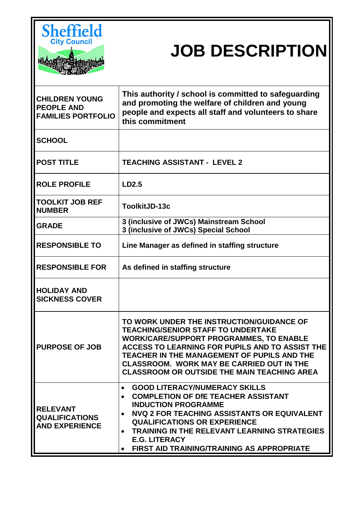

# **JOB DESCRIPTION**

| <b>CHILDREN YOUNG</b><br><b>PEOPLE AND</b><br><b>FAMILIES PORTFOLIO</b> | This authority / school is committed to safeguarding<br>and promoting the welfare of children and young<br>people and expects all staff and volunteers to share<br>this commitment                                                                                                                                                                                                                    |
|-------------------------------------------------------------------------|-------------------------------------------------------------------------------------------------------------------------------------------------------------------------------------------------------------------------------------------------------------------------------------------------------------------------------------------------------------------------------------------------------|
| <b>SCHOOL</b>                                                           |                                                                                                                                                                                                                                                                                                                                                                                                       |
| <b>POST TITLE</b>                                                       | <b>TEACHING ASSISTANT - LEVEL 2</b>                                                                                                                                                                                                                                                                                                                                                                   |
| <b>ROLE PROFILE</b>                                                     | LD2.5                                                                                                                                                                                                                                                                                                                                                                                                 |
| TOOLKIT JOB REF<br><b>NUMBER</b>                                        | ToolkitJD-13c                                                                                                                                                                                                                                                                                                                                                                                         |
| <b>GRADE</b>                                                            | 3 (inclusive of JWCs) Mainstream School<br>3 (inclusive of JWCs) Special School                                                                                                                                                                                                                                                                                                                       |
| <b>RESPONSIBLE TO</b>                                                   | Line Manager as defined in staffing structure                                                                                                                                                                                                                                                                                                                                                         |
| <b>RESPONSIBLE FOR</b>                                                  | As defined in staffing structure                                                                                                                                                                                                                                                                                                                                                                      |
| <b>HOLIDAY AND</b><br><b>SICKNESS COVER</b>                             |                                                                                                                                                                                                                                                                                                                                                                                                       |
| <b>PURPOSE OF JOB</b>                                                   | TO WORK UNDER THE INSTRUCTION/GUIDANCE OF<br><b>TEACHING/SENIOR STAFF TO UNDERTAKE</b><br><b>WORK/CARE/SUPPORT PROGRAMMES, TO ENABLE</b><br>ACCESS TO LEARNING FOR PUPILS AND TO ASSIST THE<br>TEACHER IN THE MANAGEMENT OF PUPILS AND THE<br><b>CLASSROOM. WORK MAY BE CARRIED OUT IN THE</b><br><b>CLASSROOM OR OUTSIDE THE MAIN TEACHING AREA</b>                                                  |
| <b>RELEVANT</b><br><b>QUALIFICATIONS</b><br><b>AND EXPERIENCE</b>       | <b>GOOD LITERACY/NUMERACY SKILLS</b><br>$\bullet$<br><b>COMPLETION OF DIE TEACHER ASSISTANT</b><br>$\bullet$<br><b>INDUCTION PROGRAMME</b><br><b>NVQ 2 FOR TEACHING ASSISTANTS OR EQUIVALENT</b><br>$\bullet$<br><b>QUALIFICATIONS OR EXPERIENCE</b><br><b>TRAINING IN THE RELEVANT LEARNING STRATEGIES</b><br>$\bullet$<br><b>E.G. LITERACY</b><br><b>FIRST AID TRAINING/TRAINING AS APPROPRIATE</b> |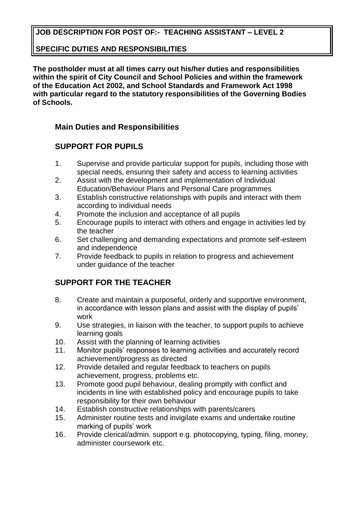## **JOB DESCRIPTION FOR POST OF:- TEACHING ASSISTANT – LEVEL 2**

#### **SPECIFIC DUTIES AND RESPONSIBILITIES**

**The postholder must at all times carry out his/her duties and responsibilities within the spirit of City Council and School Policies and within the framework of the Education Act 2002, and School Standards and Framework Act 1998 with particular regard to the statutory responsibilities of the Governing Bodies of Schools.**

#### **Main Duties and Responsibilities**

#### **SUPPORT FOR PUPILS**

- 1. Supervise and provide particular support for pupils, including those with special needs, ensuring their safety and access to learning activities
- 2. Assist with the development and implementation of Individual Education/Behaviour Plans and Personal Care programmes
- 3. Establish constructive relationships with pupils and interact with them according to individual needs
- 4. Promote the inclusion and acceptance of all pupils
- 5. Encourage pupils to interact with others and engage in activities led by the teacher
- 6. Set challenging and demanding expectations and promote self-esteem and independence
- 7. Provide feedback to pupils in relation to progress and achievement under guidance of the teacher

### **SUPPORT FOR THE TEACHER**

- 8. Create and maintain a purposeful, orderly and supportive environment, in accordance with lesson plans and assist with the display of pupils' work
- 9. Use strategies, in liaison with the teacher, to support pupils to achieve learning goals
- 10. Assist with the planning of learning activities
- 11. Monitor pupils' responses to learning activities and accurately record achievement/progress as directed
- 12. Provide detailed and regular feedback to teachers on pupils achievement, progress, problems etc.
- 13. Promote good pupil behaviour, dealing promptly with conflict and incidents in line with established policy and encourage pupils to take responsibility for their own behaviour
- 14. Establish constructive relationships with parents/carers
- 15. Administer routine tests and invigilate exams and undertake routine marking of pupils' work
- 16. Provide clerical/admin. support e.g. photocopying, typing, filing, money, administer coursework etc.